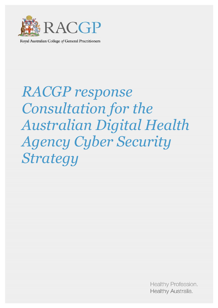

Royal Australian College of General Practitioners

# RACGP response Consultation for the Australian Digital Health Agency Cyber Security Strategy

Healthy Profession. Healthy Australia.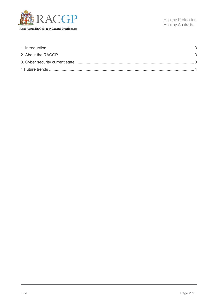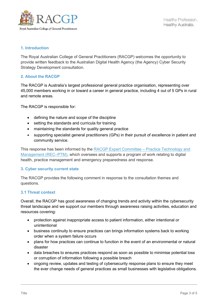

#### 1. Introduction

The Royal Australian College of General Practitioners (RACGP) welcomes the opportunity to provide written feedback to the Australian Digital Health Agency (the Agency) Cyber Security Strategy Development consultation.

#### 2. About the RACGP

The RACGP is Australia's largest professional general practice organisation, representing over 45,000 members working in or toward a career in general practice, including 4 out of 5 GPs in rural and remote areas.

The RACGP is responsible for:

- defining the nature and scope of the discipline
- setting the standards and curricula for training
- maintaining the standards for quality general practice
- supporting specialist general practitioners (GPs) in their pursuit of excellence in patient and community service.

This response has been informed by the RACGP Expert Committee – Practice Technology and Management (REC–PTM), which oversees and supports a program of work relating to digital health, practice management and emergency preparedness and response.

#### 3. Cyber security current state

The RACGP provides the following comment in response to the consultation themes and questions.

#### 3.1 Threat context

Overall, the RACGP has good awareness of changing trends and activity within the cybersecurity threat landscape and we support our members through awareness raising activities, education and resources covering:

- protection against inappropriate access to patient information, either intentional or unintentional
- business continuity to ensure practices can brings information systems back to working order when a system failure occurs
- plans for how practices can continue to function in the event of an environmental or natural disaster
- data breaches to ensures practices respond as soon as possible to minimise potential loss or corruption of information following a possible breach
- ongoing review, updates and testing of cybersecurity response plans to ensure they meet the ever change needs of general practices as small businesses with legislative obligations.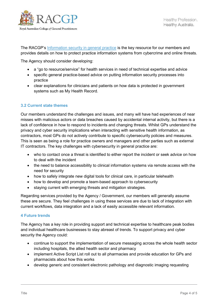

The RACGP's Information security in general practice is the key resource for our members and provides details on how to protect practice information systems from cybercrime and online threats.

The Agency should consider developing:

- a "go to resource/service" for health services in need of technical expertise and advice
- specific general practice-based advice on putting information security processes into practice
- clear explanations for clinicians and patients on how data is protected in government systems such as My Health Record.

## 3.2 Current state themes

Our members understand the challenges and issues, and many will have had experiences of near misses with malicious actors or data breaches caused by accidental internal activity, but there is a lack of confidence in how to respond to incidents and changing threats. Whilst GPs understand the privacy and cyber security implications when interacting with sensitive health information, as contractors, most GPs do not actively contribute to specific cybersecurity policies and measures. This is seen as being a role for practice owners and managers and other parties such as external IT contractors. The key challenges with cybersecurity in general practice are:

- who to contact once a threat is identified to either report the incident or seek advice on how to deal with the incident
- the need to balance accessibility to clinical information systems via remote access with the need for security
- how to safely integrate new digital tools for clinical care, in particular telehealth
- how to develop and promote a team-based approach to cybersecurity
- staying current with emerging threats and mitigation strategies.

Regarding services provided by the Agency / Government, our members will generally assume these are secure. They feel challenges in using these services are due to lack of integration with current workflows, data integration and a lack of easily accessible relevant information.

#### 4 Future trends

The Agency has a key role in providing support and technical expertise to healthcare peak bodies and individual healthcare businesses to stay abreast of trends. To support privacy and cyber security the Agency could:

- continue to support the implementation of secure messaging across the whole health sector including hospitals, the allied health sector and pharmacy
- implement Active Script List roll out to all pharmacies and provide education for GPs and pharmacists about how this works
- develop generic and consistent electronic pathology and diagnostic imaging requesting